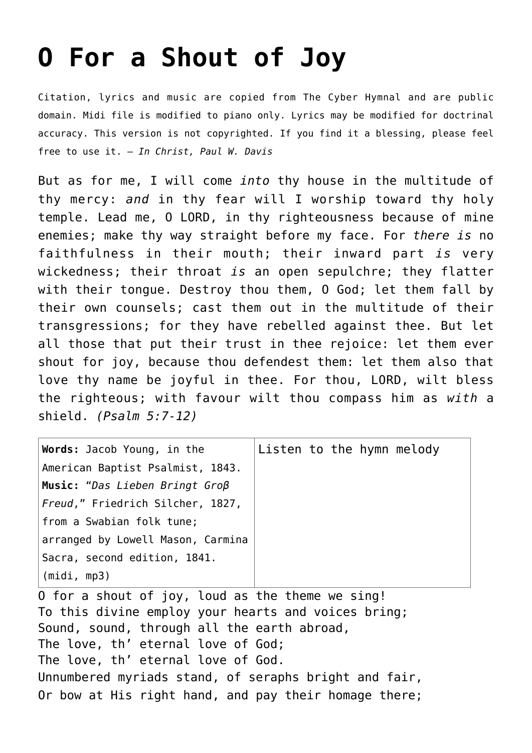## **[O For a Shout of Joy](http://reproachofmen.org/hymns-and-music/o-for-a-shout-of-joy/)**

Citation, lyrics and music are copied from [The Cyber Hymnal](http://www.hymntime.com/tch/index.htm) and are public domain. Midi file is modified to piano only. Lyrics may be modified for doctrinal accuracy. This version is not copyrighted. If you find it a blessing, please feel free to use it. — *In Christ, Paul W. Davis*

But as for me, I will come *into* thy house in the multitude of thy mercy: *and* in thy fear will I worship toward thy holy temple. Lead me, O LORD, in thy righteousness because of mine enemies; make thy way straight before my face. For *there is* no faithfulness in their mouth; their inward part *is* very wickedness; their throat *is* an open sepulchre; they flatter with their tongue. Destroy thou them, O God; let them fall by their own counsels; cast them out in the multitude of their transgressions; for they have rebelled against thee. But let all those that put their trust in thee rejoice: let them ever shout for joy, because thou defendest them: let them also that love thy name be joyful in thee. For thou, LORD, wilt bless the righteous; with favour wilt thou compass him as *with* a shield. *(Psalm 5:7-12)*

| <b>Words:</b> Jacob Young, in the       | Listen to the hymn melody |  |  |
|-----------------------------------------|---------------------------|--|--|
| American Baptist Psalmist, 1843.        |                           |  |  |
| Music: "Das Lieben Bringt $G \nO \beta$ |                           |  |  |
| <i>Freud,"</i> Friedrich Silcher, 1827, |                           |  |  |
| from a Swabian folk tune;               |                           |  |  |
| arranged by Lowell Mason, Carmina       |                           |  |  |
| Sacra, second edition, 1841.            |                           |  |  |
| (midi, mp3)                             |                           |  |  |

O for a shout of joy, loud as the theme we sing! To this divine employ your hearts and voices bring; Sound, sound, through all the earth abroad, The love, th' eternal love of God; The love, th' eternal love of God. Unnumbered myriads stand, of seraphs bright and fair, Or bow at His right hand, and pay their homage there;